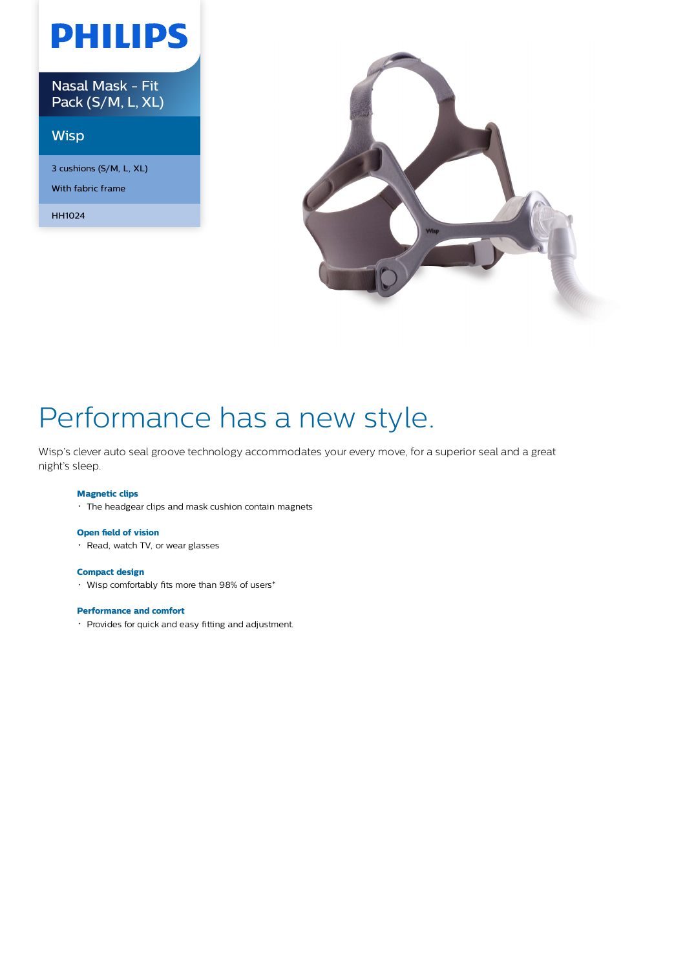# **PHILIPS**

Nasal Mask - Fit Pack (S/M, L, XL)

### **Wisp**

3 cushions (S/M, L, XL) With fabric frame

HH1024



## Performance has a new style.

Wisp's clever auto seal groove technology accommodates your every move, for a superior seal and a great night's sleep.

### **Magnetic clips**

The headgear clips and mask cushion contain magnets

#### **Open field of vision**

• Read, watch TV, or wear glasses

#### **Compact design**

Wisp comfortably fits more than 98% of users\*

#### **Performance and comfort**

Provides for quick and easy fitting and adjustment.